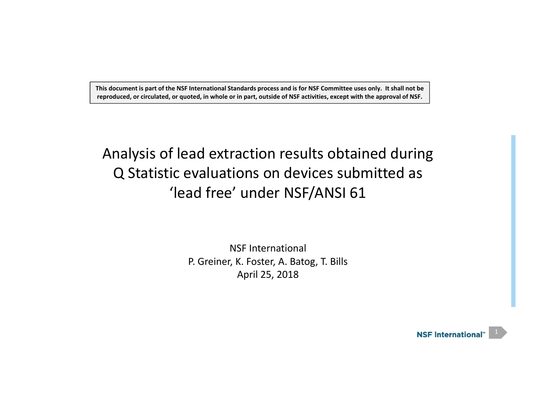This document is part of the NSF International Standards process and is for NSF Committee uses only. It shall not be reproduced, or circulated, or quoted, in whole or in part, outside of NSF activities, except with the approval of NSF.

# Analysis of lead extraction results obtained during Q Statistic evaluations on devices submitted as 'lead free' under NSF/ANSI 61

NSF International P. Greiner, K. Foster, A. Batog, T. Bills April 25, 2018

> **NSF International**<sup>\*</sup> 1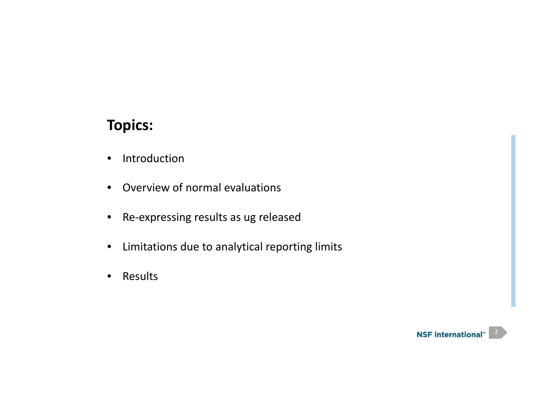# **Topics:**

- $\bullet$ • Introduction
- Overview of normal evaluations
- Re‐expressing results as ug released
- Limitations due to analytical reporting limits
- $\bullet$ Results

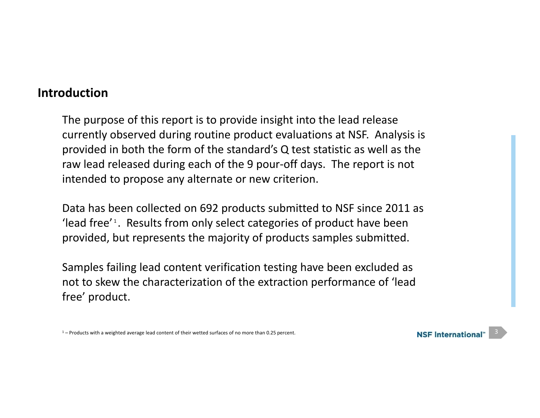## **Introduction**

The purpose of this report is to provide insight into the lead release currently observed during routine product evaluations at NSF. Analysis is provided in both the form of the standard's Q test statistic as well as the raw lead released during each of the 9 pour‐off days. The report is not intended to propose any alternate or new criterion.

Data has been collected on 692 products submitted to NSF since 2011 as 'lead free'<sup>1</sup>. Results from only select categories of product have been provided, but represents the majority of products samples submitted.

Samples failing lead content verification testing have been excluded as not to skew the characterization of the extraction performance of 'lead free' product.



 $1$  – Products with a weighted average lead content of their wetted surfaces of no more than 0.25 percent.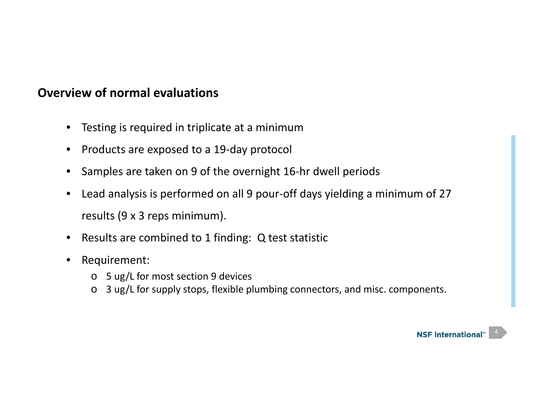- Testing is required in triplicate at <sup>a</sup> minimum
- Products are exposed to <sup>a</sup> 19‐day protocol
- Samples are taken on 9 of the overnight 16‐hr dwell periods
- $\bullet$  Lead analysis is performed on all 9 pour‐off days yielding <sup>a</sup> minimum of 27 results (9 <sup>x</sup> 3 reps minimum).
- Results are combined to 1 finding: Q test statistic
- $\bullet$  Requirement:
	- o 5 ug/L for most section 9 devices
	- o 3 ug/L for supply stops, flexible plumbing connectors, and misc. components.

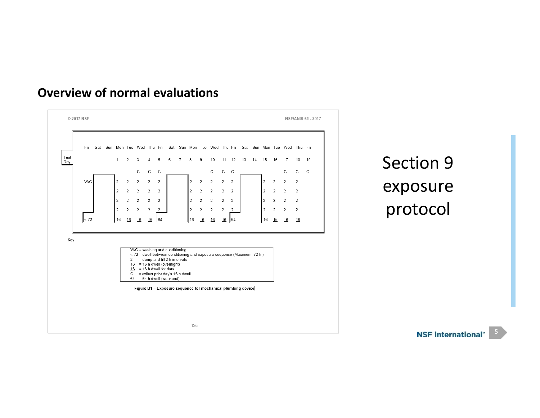

Section 9 exposure protocol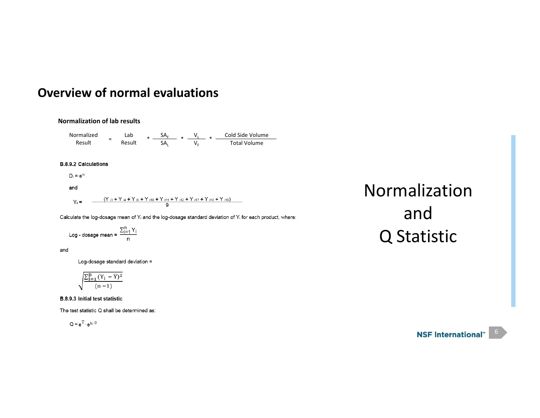#### **Normalization of lab results**

NormalizedResult =Lab Result  $*$   $\frac{SA_{F}}{SA_{L}}$   $*$   $\frac{V_{L}}{V_{F}}$   $*$   $\frac{Coll~Side~Volume}{Total~Volume}$ 

#### **B.8.9.2 Calculations**

 $D_i = e^{Y_i}$ 

$$
\quad \text{and} \quad
$$

 $Y_i =$   $\frac{(Y_{i3} + Y_{i4} + Y_{i5} + Y_{i10} + Y_{i11} + Y_{i12} + Y_{i17} + Y_{i18} + Y_{i19})}{9}$ 

Calculate the log-dosage mean of Y<sub>i</sub> and the log-dosage standard deviation of Y<sub>i</sub> for each product, where:

$$
Log - dosage mean = \frac{\sum_{i=1}^{n} Y_i}{n}
$$

and

Log-dosage standard deviation =

$$
\sqrt{\frac{\sum_{i=1}^{n} (Y_i - \overline{Y})^2}{(n-1)}}
$$

B.8.9.3 Initial test statistic

The test statistic Q shall be determined as:

 $Q = e^{\overline{Y}} \cdot e^{k_1 \cdot S}$ 

# Normalization and Q Statistic

#### NSF International™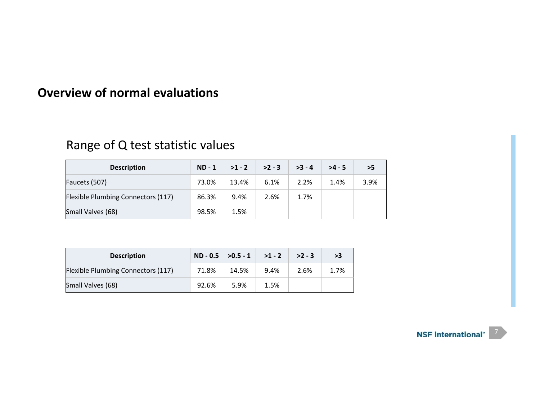# Range of Q test statistic values

| <b>Description</b>                        | $ND - 1$ | $>1 - 2$ | $>2 - 3$ | $>3 - 4$ | $>4 - 5$ | >5   |
|-------------------------------------------|----------|----------|----------|----------|----------|------|
| Faucets (507)                             | 73.0%    | 13.4%    | 6.1%     | 2.2%     | 1.4%     | 3.9% |
| <b>Flexible Plumbing Connectors (117)</b> | 86.3%    | 9.4%     | 2.6%     | 1.7%     |          |      |
| Small Valves (68)                         | 98.5%    | 1.5%     |          |          |          |      |

| <b>Description</b>                        | $ND - 0.5$ | $>0.5 - 1$ >1 - 2 |      | $>2 - 3$ | >3   |
|-------------------------------------------|------------|-------------------|------|----------|------|
| <b>Flexible Plumbing Connectors (117)</b> | 71.8%      | 14.5%             | 9.4% | 2.6%     | 1.7% |
| Small Valves (68)                         | 92.6%      | 5.9%              | 1.5% |          |      |

**NSF International**"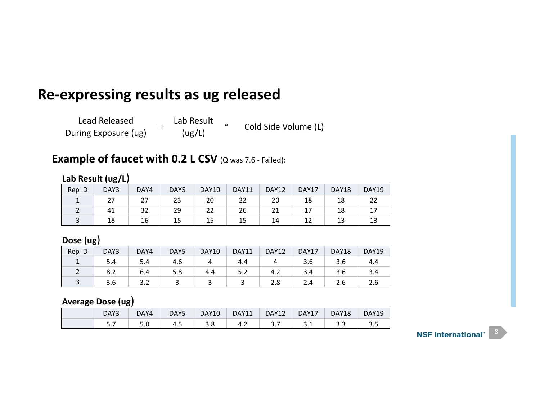# **Re‐expressing results as ug released**

Lead Released During Exposure (ug) =Lab Result (ug/L) \*Cold Side Volume (L)

## **Example of faucet with 0.2 L CSV** (Q was 7.6 ‐ Failed):

### **Lab Result (ug/L**)

| Rep ID | DAY3      | DAY4           | DAY5 | <b>DAY10</b> | <b>DAY11</b>      | DAY12 | DAY17 | <b>DAY18</b> | <b>DAY19</b> |
|--------|-----------|----------------|------|--------------|-------------------|-------|-------|--------------|--------------|
|        | דר<br>ر ے | $\lnot$<br>ر ے | 23   | 20           | $\mathbf{a}$<br>ے | 20    | 18    | 18           | ŽŽ           |
|        | 41        | 32             | 29   | 22           | 26                |       | 17    | 18           | 17           |
|        | 18        | 16             | 15   | 15           | 15                | 14    | ∸∸    | ᅩ            | 13           |

### **Dose (ug**)

| Rep ID | DAY3 | DAY4 | DAY5 | <b>DAY10</b> | DAY11 | <b>DAY12</b> | DAY17 | DAY18 | <b>DAY19</b> |
|--------|------|------|------|--------------|-------|--------------|-------|-------|--------------|
|        | 5.4  | J.4  | 4.6  |              | 4.4   |              | 3.b   | 3.6   | 4.4          |
|        | o.z  | b.4  | 5.8  | 4.4          | ے.د   | 4.2          | 3.4   | 3.6   | 3.4          |
|        | 3.6  | ے.د  |      |              |       | 2.8          | 2.4   | 2.6   | 2.b          |

### **Average Dose (ug**)

| DAY3      | DAY4 | DAY5 | <b>DAY10</b> | <b>DAY11</b> | <b>DAY12</b> | DAY17 | <b>DAY18</b> | DAY19 |
|-----------|------|------|--------------|--------------|--------------|-------|--------------|-------|
| <u>.,</u> | J.U  | د.+  | റ<br>၁.ဝ     | 4.∠          | J.,          | ـ . ـ | د.د          |       |

#### NSF International™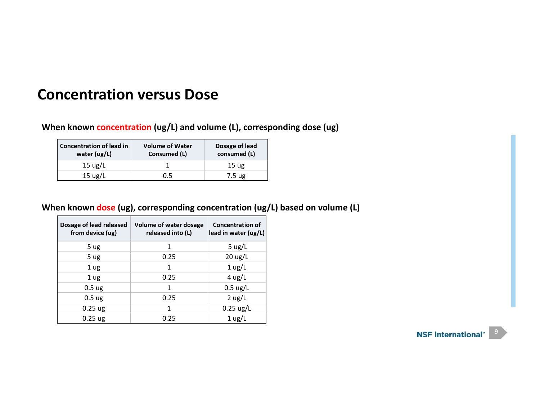# **Concentration versus Dose**

**When known concentration (ug/L) and volume (L), corresponding dose (ug)**

| Concentration of lead in<br>water (ug/L)       | <b>Volume of Water</b><br>Consumed (L) | Dosage of lead<br>consumed (L) |  |  |
|------------------------------------------------|----------------------------------------|--------------------------------|--|--|
| 15 $\frac{\text{u} \times \text{u}}{\text{u}}$ |                                        | 15 <sub>ug</sub>               |  |  |
| $15 \text{ ug/L}$                              | 0.5                                    | 7.5 ug                         |  |  |

#### **When known dose (ug), corresponding concentration (ug/L) based on volume (L)**

| Dosage of lead released<br>from device (ug) | Volume of water dosage<br>released into (L) | <b>Concentration of</b><br>lead in water (ug/L) |
|---------------------------------------------|---------------------------------------------|-------------------------------------------------|
| 5 ug                                        | 1                                           | 5 $\mu$ g/L                                     |
| 5 ug                                        | 0.25                                        | $20 \text{ ug/L}$                               |
| 1 <sub>ug</sub>                             | 1                                           | $1$ ug/L                                        |
| 1 <sub>ug</sub>                             | 0.25                                        | $4$ ug/L                                        |
| 0.5 <sub>ug</sub>                           | 1                                           | $0.5 \text{ ug/L}$                              |
| 0.5 <sub>ug</sub>                           | 0.25                                        | $2$ ug/L                                        |
| $0.25$ ug                                   | 1                                           | $0.25$ ug/L                                     |
| $0.25$ ug                                   | 0.25                                        | $1 \text{ ug/L}$                                |

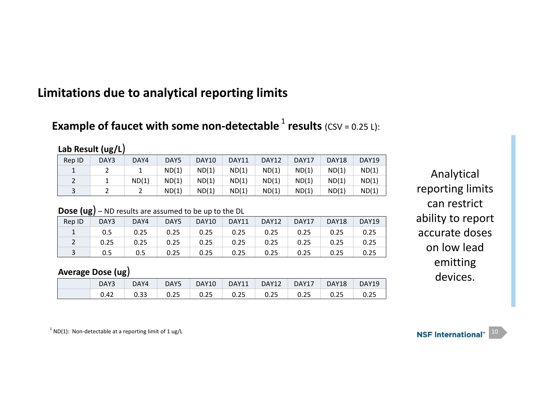## **Limitations due to analytical reporting limits**

## **Example of faucet with some non-detectable <sup>1</sup> results (CSV = 0.25 L):**

### **Lab Result (ug/L**)

| Rep ID | DAY3 | DAY4  | DAY5  | DAY10 | DAY11 | <b>DAY12</b> | DAY17 | DAY18 | DAY19 |
|--------|------|-------|-------|-------|-------|--------------|-------|-------|-------|
|        | ∸    |       | ND(1) | ND(1) | ND(1) | ND(1)        | ND(1) | ND(1) | ND(1) |
|        |      | ND(1) | ND(1) | ND(1) | ND(1) | ND(1)        | ND(1) | ND(1) | ND(1) |
|        |      |       | ND(1) | ND(1) | ND(1) | ND(1)        | ND(1) | ND(1) | ND(1) |

### **Dose (ug**) – ND results are assumed to be up to the DL

| Rep ID    | DAY3 | DAY4 | DAY5 | <b>DAY10</b> | DAY11 | DAY12 | DAY17 | DAY18 | DAY19 |
|-----------|------|------|------|--------------|-------|-------|-------|-------|-------|
| $1 \quad$ | 0.5  | 0.25 | 0.25 | 0.25         | 0.25  | 0.25  | 0.25  | 0.25  | 0.25  |
|           | 0.25 | 0.25 | 0.25 | 0.25         | 0.25  | 0.25  | 0.25  | 0.25  | 0.25  |
|           | 0.5  | 0.5  | 0.25 | 0.25         | 0.25  | 0.25  | 0.25  | 0.25  | 0.25  |

### **Average Dose (ug**)

| DAY3 | DAY4 | DAY5 | DAY <sub>10</sub> | DAY11 | DAY12 | DAY17 | DAY18 | <b>DAY19</b> |
|------|------|------|-------------------|-------|-------|-------|-------|--------------|
| 0.42 | 0.33 | 0.25 | 0.25              | 0.25  | 0.25  | 0.25  | 0.25  |              |

Analytical reporting limits can restrict ability to report accurate doses on low lead emitting devices.

 $1$  ND(1): Non-detectable at a reporting limit of 1 ug/L

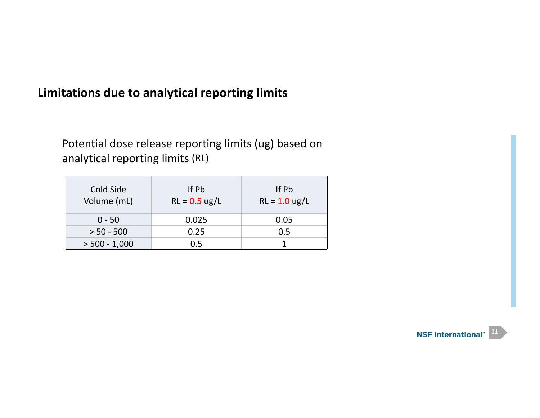## **Limitations due to analytical reporting limits**

Potential dose release reporting limits (ug) based on analytical reporting limits (RL)

| Cold Side<br>Volume (mL) | If Pb<br>$RL = 0.5$ ug/L | If Pb<br>$RL = 1.0$ ug/L |
|--------------------------|--------------------------|--------------------------|
| $0 - 50$                 | 0.025                    | 0.05                     |
| $> 50 - 500$             | 0.25                     | 0.5                      |
| $> 500 - 1,000$          | 0.5                      |                          |

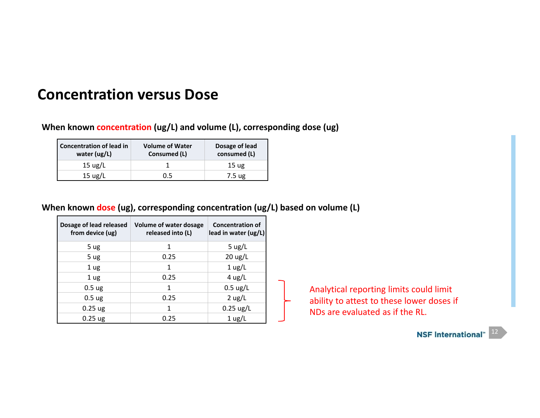# **Concentration versus Dose**

**When known concentration (ug/L) and volume (L), corresponding dose (ug)**

| Concentration of lead in<br>water (ug/L) | <b>Volume of Water</b><br>Consumed (L) | Dosage of lead<br>consumed (L) |  |  |
|------------------------------------------|----------------------------------------|--------------------------------|--|--|
| 15 $\mu$ g/L                             |                                        | 15 <sub>ug</sub>               |  |  |
| $15 \text{ ug/L}$                        | 0.5                                    | 7.5 ug                         |  |  |

#### **When known dose (ug), corresponding concentration (ug/L) based on volume (L)**

| Dosage of lead released<br>from device (ug) | Volume of water dosage<br>released into (L) | <b>Concentration of</b><br>lead in water (ug/L) |
|---------------------------------------------|---------------------------------------------|-------------------------------------------------|
| 5 ug                                        | 1                                           | 5 $\mu$ g/L                                     |
| 5 ug                                        | 0.25                                        | $20 \text{ ug/L}$                               |
| 1 <sub>ug</sub>                             | 1                                           | $1$ ug/L                                        |
| 1 <sub>ug</sub>                             | 0.25                                        | $4$ ug/L                                        |
| 0.5 <sub>ug</sub>                           | 1                                           | $0.5 \text{ ug/L}$                              |
| 0.5 <sub>ug</sub>                           | 0.25                                        | $2$ ug/L                                        |
| $0.25$ ug                                   | 1                                           | $0.25$ ug/L                                     |
| $0.25$ ug                                   | 0.25                                        | $1 \text{ ug/L}$                                |

Analytical reporting limits could limit ability to attest to these lower doses if NDs are evaluated as if the RL.

NSF International™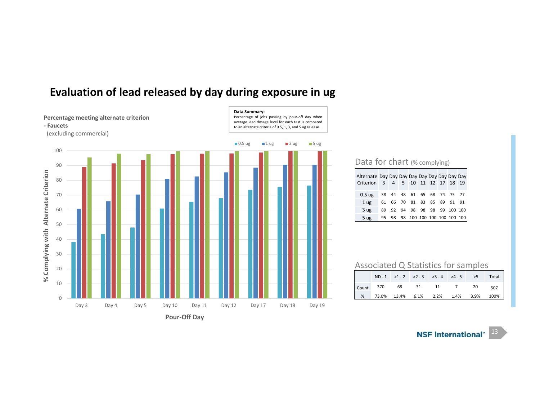

### **Evaluation of lead released by day during exposure in ug**

#### Data for chart (% complying)

| Alternate Day Day Day Day Day Day Day Day Day<br>Criterion 3 |    |  |  |  |                            | 4 5 10 11 12 17 18 19         |
|--------------------------------------------------------------|----|--|--|--|----------------------------|-------------------------------|
| $0.5$ ug                                                     |    |  |  |  | 38 44 48 61 65 68 74 75 77 |                               |
| 1 <sub>ug</sub>                                              | 61 |  |  |  |                            | 66 70 81 83 85 89 91 91       |
| 3 <sub>ug</sub>                                              | 89 |  |  |  |                            | 92 94 98 98 98 99 100 100     |
| 5 ug                                                         | 95 |  |  |  |                            | 98 98 100 100 100 100 100 100 |

#### Associated Q Statistics for samples

|                                        |  | $ND-1$ >1 - 2 > 2 - 3 > 3 - 4 > 4 - 5 > 5 Total |  |  |
|----------------------------------------|--|-------------------------------------------------|--|--|
| Count 370 68 31 11 7 20 507            |  |                                                 |  |  |
| % 73.0% 13.4% 6.1% 2.2% 1.4% 3.9% 100% |  |                                                 |  |  |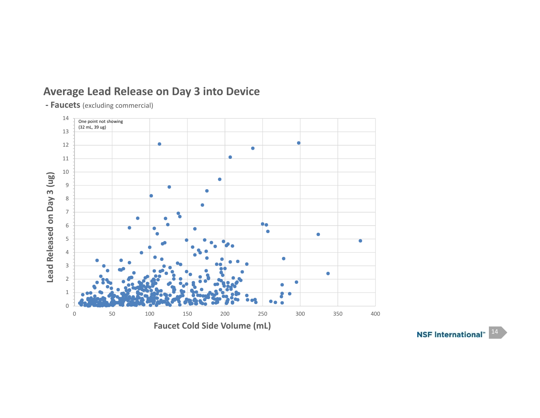## **Average Lead Release on Day 3 into Device**

**‐ Faucets** (excluding commercial)



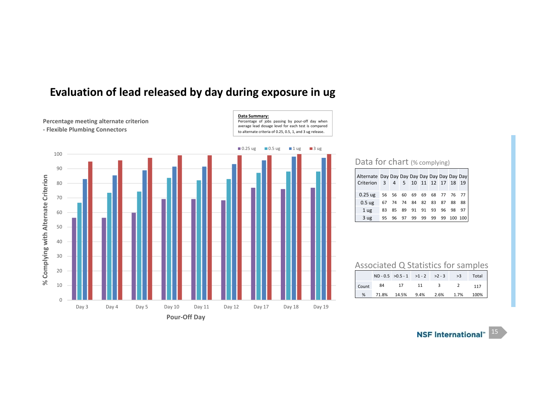

Day 3 Day 4 Day 5 Day 10 Day 11 Day 12 Day 17 Day 18 Day 19

**Pour‐Off Day**

0

### **Evaluation of lead released by day during exposure in ug**

#### Data for chart (% complying)

| Alternate Day Day Day Day Day Day Day Day Day<br>Criterion 3 4 5 10 11 12 17 18 19 |                            |    |                   |  |                      |                              |
|------------------------------------------------------------------------------------|----------------------------|----|-------------------|--|----------------------|------------------------------|
| $0.25$ ug                                                                          | 56 56 60 69 69 68 77 76 77 |    |                   |  |                      |                              |
| $0.5$ ug                                                                           | 67                         |    | 74 74 84 82 83 87 |  | 88 88                |                              |
| 1 <sub>ug</sub>                                                                    | 83                         | 85 |                   |  | 89 91 91 93 96 98 97 |                              |
| 3 <sub>ug</sub>                                                                    |                            |    |                   |  |                      | 95 96 97 99 99 99 99 100 100 |

#### Associated Q Statistics for samples

|       |                                   | $ND - 0.5 > 0.5 - 1 > 1 - 2 > 2 - 3 > 3$ |  | Total |
|-------|-----------------------------------|------------------------------------------|--|-------|
| Count |                                   | 84 17 11 3 2                             |  | 117   |
|       | % 71.8% 14.5% 9.4% 2.6% 1.7% 100% |                                          |  |       |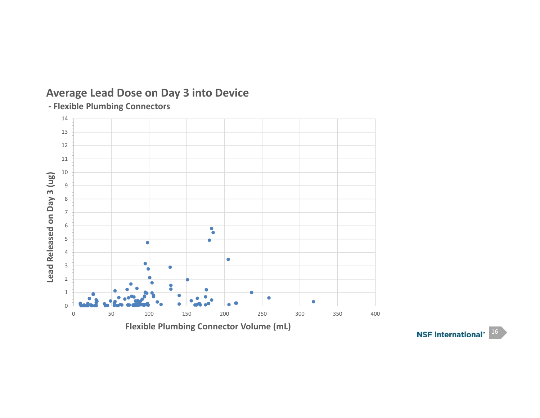

## **Average Lead Dose on Day 3 into Device**

**‐ Flexible Plumbing Connectors**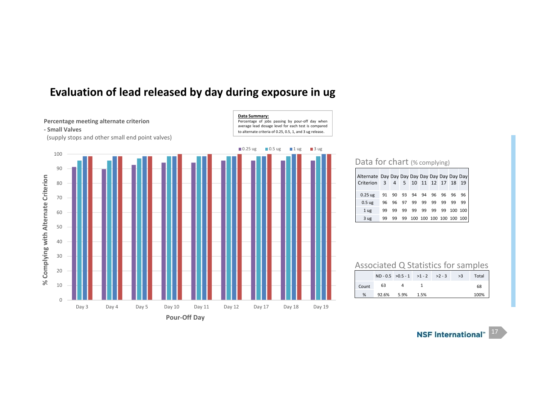



#### Data for chart (% complying)

| Alternate Day Day Day Day Day Day Day Day Day<br>Criterion | 3  |    |    |    |       | 4 5 10 11 12 17 18 |    |     | 19                      |
|------------------------------------------------------------|----|----|----|----|-------|--------------------|----|-----|-------------------------|
| $0.25$ ug                                                  | 91 | 90 | 93 | 94 | 94 96 |                    | 96 | 96  | 96                      |
| 0.5 <sub>ug</sub>                                          | 96 | 96 | 97 | 99 | 99    | 99                 | 99 | 99  | 99                      |
| 1 <sub>ug</sub>                                            |    | 99 | 99 | 99 | 99    | 99                 | 99 | 100 | 100                     |
| 3 ug                                                       |    |    | 99 |    |       |                    |    |     | 100 100 100 100 100 100 |

#### Associated Q Statistics for samples

|       |       | $ND - 0.5 > 0.5 - 1 > 1 - 2 > 2 - 3$ |      | >3 | Total |
|-------|-------|--------------------------------------|------|----|-------|
| Count | 63    |                                      |      |    | 68    |
| %     | 92.6% | 5.9%                                 | 1.5% |    | 100%  |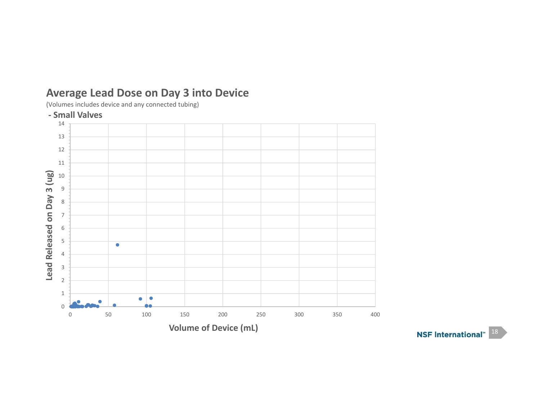

## **Average Lead Dose on Day 3 into Device**

(Volumes includes device and any connected tubing)